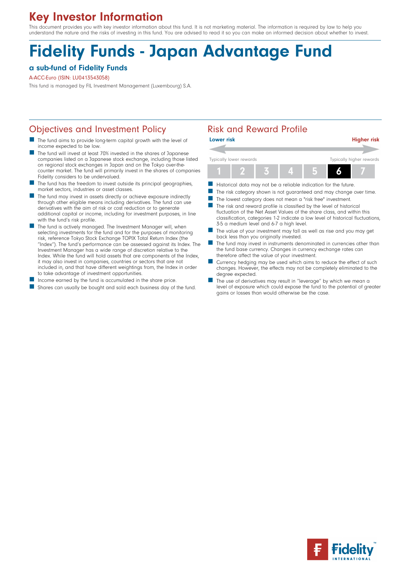# Key Investor Information

This document provides you with key investor information about this fund. It is not marketing material. The information is required by law to help you understand the nature and the risks of investing in this fund. You are advised to read it so you can make an informed decision about whether to invest.

# Fidelity Funds - Japan Advantage Fund

### a sub-fund of Fidelity Funds

### A-ACC-Euro (ISIN: LU0413543058)

This fund is managed by FIL Investment Management (Luxembourg) S.A.

### Objectives and Investment Policy **Risk and Reward Profile**

- The fund aims to provide long-term capital growth with the level of income expected to be low.
- n The fund will invest at least 70% invested in the shares of Japanese companies listed on a Japanese stock exchange, including those listed on regional stock exchanges in Japan and on the Tokyo over-thecounter market. The fund will primarily invest in the shares of companies Fidelity considers to be undervalued.
- $\blacksquare$  The fund has the freedom to invest outside its principal geographies, market sectors, industries or asset classes.
- The fund may invest in assets directly or achieve exposure indirectly through other eligible means including derivatives. The fund can use derivatives with the aim of risk or cost reduction or to generate additional capital or income, including for investment purposes, in line with the fund's risk profile.
- The fund is actively managed. The Investment Manager will, when selecting investments for the fund and for the purposes of monitoring risk, reference Tokyo Stock Exchange TOPIX Total Return Index (the "Index"). The fund's performance can be assessed against its Index. The Investment Manager has a wide range of discretion relative to the Index. While the fund will hold assets that are components of the Index, it may also invest in companies, countries or sectors that are not included in, and that have different weightings from, the Index in order to take advantage of investment opportunities.
- Income earned by the fund is accumulated in the share price.
- **n** Shares can usually be bought and sold each business day of the fund.

| <b>Lower risk</b> |                         |                          | <b>Higher risk</b> |
|-------------------|-------------------------|--------------------------|--------------------|
|                   |                         |                          |                    |
|                   | Typically lower rewards | Typically higher rewards |                    |
|                   |                         |                          |                    |

- Historical data may not be a reliable indication for the future.
- The risk category shown is not guaranteed and may change over time.
- The lowest category does not mean a "risk free" investment.
- $\blacksquare$  The risk and reward profile is classified by the level of historical fluctuation of the Net Asset Values of the share class, and within this classification, categories 1-2 indicate a low level of historical fluctuations, 3-5 a medium level and 6-7 a high level.
- The value of your investment may fall as well as rise and you may get back less than you originally invested.
- The fund may invest in instruments denominated in currencies other than the fund base currency. Changes in currency exchange rates can therefore affect the value of your investment.
- Currency hedging may be used which aims to reduce the effect of such changes. However, the effects may not be completely eliminated to the degree expected.
- The use of derivatives may result in "leverage" by which we mean a level of exposure which could expose the fund to the potential of greater gains or losses than would otherwise be the case.